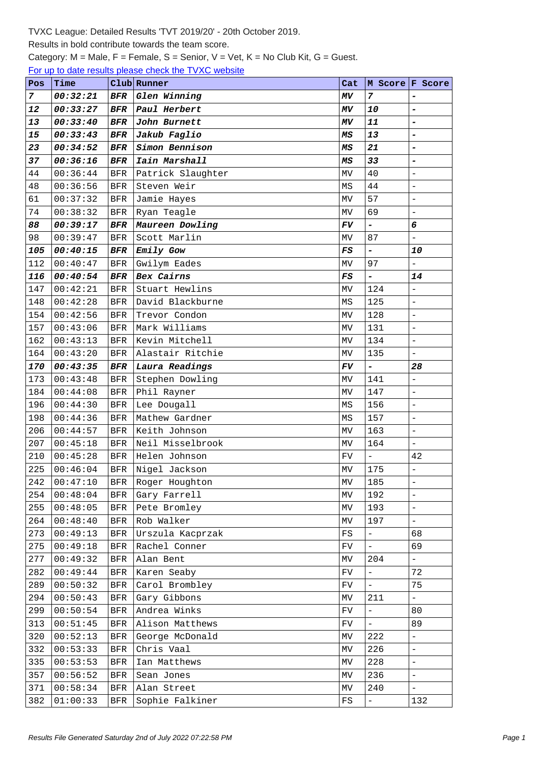## Results in bold contribute towards the team score.

Category:  $M =$  Male,  $F =$  Female,  $S =$  Senior,  $V =$  Vet,  $K =$  No Club Kit,  $G =$  Guest.

For up to date results please check the TVXC website

| Pos | Time     |            | Club Runner       | Cat                             |                          | M Score F Score          |
|-----|----------|------------|-------------------|---------------------------------|--------------------------|--------------------------|
| 7   | 00:32:21 | BFR        | Glen Winning      | MV                              | $\overline{7}$           | $\overline{a}$           |
| 12  | 00:33:27 | BFR        | Paul Herbert      | ΜV                              | 10                       | $\overline{\phantom{0}}$ |
| 13  | 00:33:40 | BFR        | John Burnett      | MV                              | 11                       | $\overline{\phantom{a}}$ |
| 15  | 00:33:43 | $_{BFR}$   | Jakub Faglio      | МS                              | 13                       | $\overline{a}$           |
| 23  | 00:34:52 | BFR        | Simon Bennison    | ΜS                              | 21                       | $\overline{a}$           |
| 37  | 00:36:16 | $_{BFR}$   | Iain Marshall     | MS                              | 33                       | $\overline{a}$           |
| 44  | 00:36:44 | <b>BFR</b> | Patrick Slaughter | MV                              | 40                       | $\equiv$                 |
| 48  | 00:36:56 | <b>BFR</b> | Steven Weir       | MS                              | 44                       | $\frac{1}{2}$            |
| 61  | 00:37:32 | <b>BFR</b> | Jamie Hayes       | MV                              | 57                       | $\overline{\phantom{0}}$ |
| 74  | 00:38:32 | <b>BFR</b> | Ryan Teagle       | MV                              | 69                       | $\overline{a}$           |
| 88  | 00:39:17 | BFR        | Maureen Dowling   | FV                              | -                        | 6                        |
| 98  | 00:39:47 | <b>BFR</b> | Scott Marlin      | MV                              | 87                       | $\equiv$                 |
| 105 | 00:40:15 | BFR        | Emily Gow         | FS                              | $\overline{a}$           | 10                       |
| 112 | 00:40:47 | <b>BFR</b> | Gwilym Eades      | MV                              | 97                       | $\overline{\phantom{0}}$ |
| 116 | 00:40:54 | $_{BFR}$   | Bex Cairns        | $_{\it FS}$                     | $\overline{a}$           | 14                       |
| 147 | 00:42:21 | <b>BFR</b> | Stuart Hewlins    | МV                              | 124                      | $\overline{\phantom{0}}$ |
| 148 | 00:42:28 | <b>BFR</b> | David Blackburne  | MS                              | 125                      | $\overline{a}$           |
| 154 | 00:42:56 | <b>BFR</b> | Trevor Condon     | MV                              | 128                      | $\overline{\phantom{m}}$ |
| 157 | 00:43:06 | <b>BFR</b> | Mark Williams     | МV                              | 131                      | $\frac{1}{2}$            |
| 162 | 00:43:13 | <b>BFR</b> | Kevin Mitchell    | MV                              | 134                      | $\overline{\phantom{a}}$ |
| 164 | 00:43:20 | <b>BFR</b> | Alastair Ritchie  | MV                              | 135                      | $\bar{\phantom{a}}$      |
| 170 | 00:43:35 | BFR        | Laura Readings    | FV                              | -                        | 28                       |
| 173 | 00:43:48 | <b>BFR</b> | Stephen Dowling   | MV                              | 141                      | $\bar{\phantom{a}}$      |
| 184 | 00:44:08 | <b>BFR</b> | Phil Rayner       | MV                              | 147                      | $\overline{a}$           |
| 196 | 00:44:30 | <b>BFR</b> | Lee Dougall       | MS                              | 156                      | $\overline{\phantom{0}}$ |
| 198 | 00:44:36 | <b>BFR</b> | Mathew Gardner    | MS                              | 157                      | $\equiv$                 |
| 206 | 00:44:57 | <b>BFR</b> | Keith Johnson     | МV                              | 163                      | $\overline{\phantom{0}}$ |
| 207 | 00:45:18 | <b>BFR</b> | Neil Misselbrook  | MV                              | 164                      | $\overline{a}$           |
| 210 | 00:45:28 | <b>BFR</b> | Helen Johnson     | FV                              | $\frac{1}{2}$            | 42                       |
| 225 | 00:46:04 | <b>BFR</b> | Nigel Jackson     | MV                              | 175                      | $\overline{\phantom{0}}$ |
| 242 | 00:47:10 | $\rm{BFR}$ | Roger Houghton    | $\ensuremath{\text{MV}}\xspace$ | 185                      | $\overline{a}$           |
| 254 | 00:48:04 | BFR        | Gary Farrell      | МV                              | 192                      | $\qquad \qquad -$        |
| 255 | 00:48:05 | BFR        | Pete Bromley      | MV                              | 193                      | $\equiv$                 |
| 264 | 00:48:40 | <b>BFR</b> | Rob Walker        | MV                              | 197                      | $\frac{1}{2}$            |
| 273 | 00:49:13 | <b>BFR</b> | Urszula Kacprzak  | FS                              | $\overline{a}$           | 68                       |
| 275 | 00:49:18 | <b>BFR</b> | Rachel Conner     | FV                              | $\equiv$                 | 69                       |
| 277 | 00:49:32 | BFR        | Alan Bent         | MV                              | 204                      | $\perp$                  |
| 282 | 00:49:44 | <b>BFR</b> | Karen Seaby       | FV                              | $\overline{\phantom{0}}$ | 72                       |
| 289 | 00:50:32 | <b>BFR</b> | Carol Brombley    | FV                              | $\equiv$                 | 75                       |
| 294 | 00:50:43 | <b>BFR</b> | Gary Gibbons      | МV                              | 211                      | $\overline{a}$           |
| 299 | 00:50:54 | <b>BFR</b> | Andrea Winks      | FV                              | $\overline{\phantom{0}}$ | 80                       |
| 313 | 00:51:45 | BFR        | Alison Matthews   | FV                              | $\overline{\phantom{0}}$ | 89                       |
| 320 | 00:52:13 | BFR        | George McDonald   | MV                              | 222                      | $\equiv$                 |
| 332 | 00:53:33 | <b>BFR</b> | Chris Vaal        | МV                              | 226                      | $\bar{\phantom{a}}$      |
| 335 | 00:53:53 | BFR        | Ian Matthews      | MV                              | 228                      | $\overline{\phantom{a}}$ |
| 357 | 00:56:52 | BFR        | Sean Jones        | МV                              | 236                      | $\overline{a}$           |
| 371 | 00:58:34 | BFR        | Alan Street       | MV                              | 240                      | $\equiv$                 |
| 382 | 01:00:33 | BFR        | Sophie Falkiner   | $_{\rm FS}$                     | $\overline{\phantom{0}}$ | 132                      |